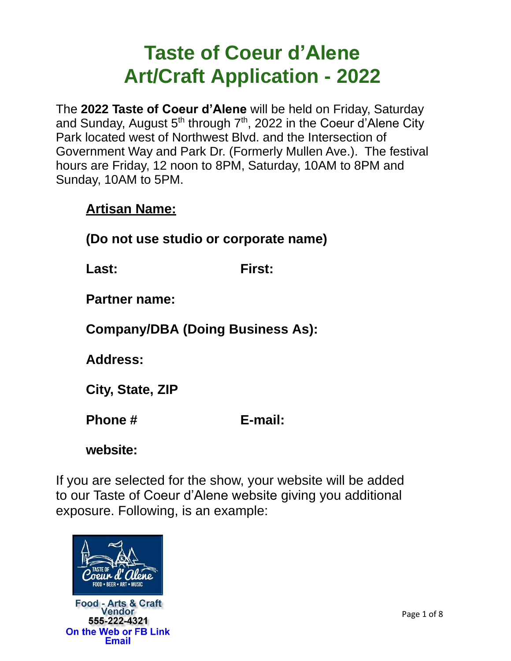# **Taste of Coeur d'Alene Art/Craft Application - 2022**

The **2022 Taste of Coeur d'Alene** will be held on Friday, Saturday and Sunday, August  $5<sup>th</sup>$  through  $7<sup>th</sup>$ , 2022 in the Coeur d'Alene City Park located west of Northwest Blvd. and the Intersection of Government Way and Park Dr. (Formerly Mullen Ave.). The festival hours are Friday, 12 noon to 8PM, Saturday, 10AM to 8PM and Sunday, 10AM to 5PM.

#### **Artisan Name:**

**(Do not use studio or corporate name)** 

**Last: First:**

**Partner name:**

**Company/DBA (Doing Business As):** 

**Address:**

**City, State, ZIP**

**Phone # E-mail:** 

**website:**

If you are selected for the show, your website will be added to our Taste of Coeur d'Alene website giving you additional exposure. Following, is an example:



**Food - Arts & Craft** Vendor 555-222-4321 On the Web or FB Link Email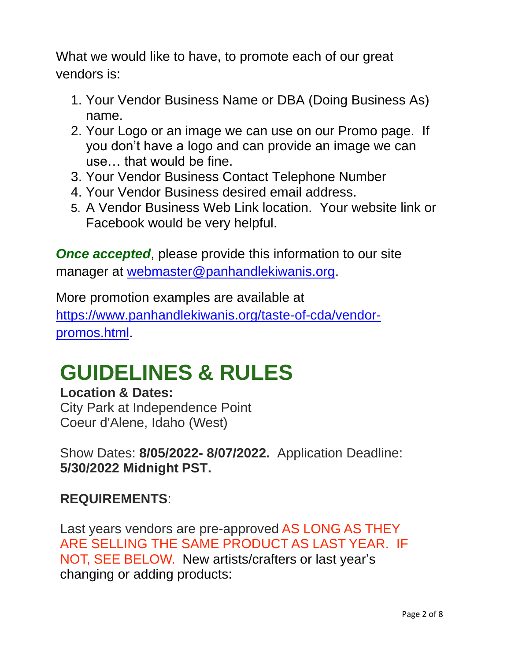What we would like to have, to promote each of our great vendors is:

- 1. Your Vendor Business Name or DBA (Doing Business As) name.
- 2. Your Logo or an image we can use on our Promo page. If you don't have a logo and can provide an image we can use… that would be fine.
- 3. Your Vendor Business Contact Telephone Number
- 4. Your Vendor Business desired email address.
- 5. A Vendor Business Web Link location. Your website link or Facebook would be very helpful.

**Once accepted,** please provide this information to our site manager at [webmaster@panhandlekiwanis.org.](mailto:webmaster@panhandlekiwanis.org)

More promotion examples are available at [https://www.panhandlekiwanis.org/taste-of-cda/vendor](https://www.panhandlekiwanis.org/taste-of-cda/vendor-promos.html)[promos.html.](https://www.panhandlekiwanis.org/taste-of-cda/vendor-promos.html)

# **GUIDELINES & RULES**

# **Location & Dates:**

City Park at Independence Point Coeur d'Alene, Idaho (West)

Show Dates: **8/05/2022- 8/07/2022.** Application Deadline: **5/30/2022 Midnight PST.** 

# **REQUIREMENTS**:

Last years vendors are pre-approved AS LONG AS THEY ARE SELLING THE SAME PRODUCT AS LAST YEAR. IF NOT, SEE BELOW. New artists/crafters or last year's changing or adding products: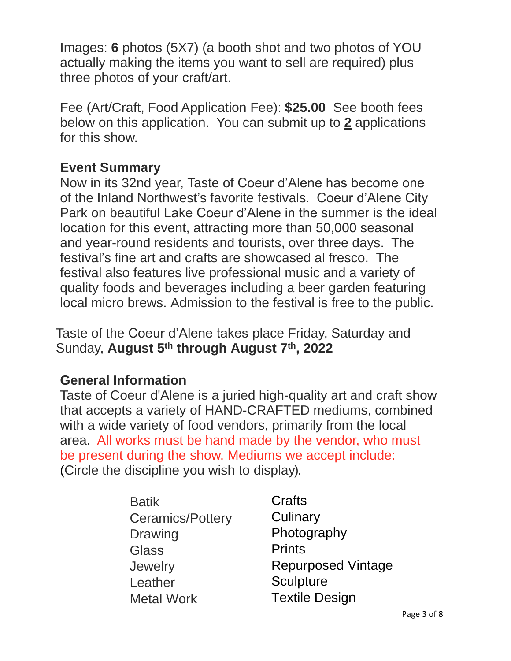Images: **6** photos (5X7) (a booth shot and two photos of YOU actually making the items you want to sell are required) plus three photos of your craft/art.

Fee (Art/Craft, Food Application Fee): **\$25.00** See booth fees below on this application. You can submit up to **2** applications for this show.

#### **Event Summary**

Now in its 32nd year, Taste of Coeur d'Alene has become one of the Inland Northwest's favorite festivals. Coeur d'Alene City Park on beautiful Lake Coeur d'Alene in the summer is the ideal location for this event, attracting more than 50,000 seasonal and year-round residents and tourists, over three days. The festival's fine art and crafts are showcased al fresco. The festival also features live professional music and a variety of quality foods and beverages including a beer garden featuring local micro brews. Admission to the festival is free to the public.

Taste of the Coeur d'Alene takes place Friday, Saturday and Sunday, **August 5 th through August 7 th , 2022**

#### **General Information**

Taste of Coeur d'Alene is a juried high-quality art and craft show that accepts a variety of HAND-CRAFTED mediums, combined with a wide variety of food vendors, primarily from the local area. All works must be hand made by the vendor, who must be present during the show. Mediums we accept include: (Circle the discipline you wish to display).

| <b>Batik</b>            | Crafts                    |
|-------------------------|---------------------------|
| <b>Ceramics/Pottery</b> | Culinary                  |
| <b>Drawing</b>          | Photography               |
| <b>Glass</b>            | <b>Prints</b>             |
| Jewelry                 | <b>Repurposed Vintage</b> |
| Leather                 | <b>Sculpture</b>          |
| <b>Metal Work</b>       | <b>Textile Design</b>     |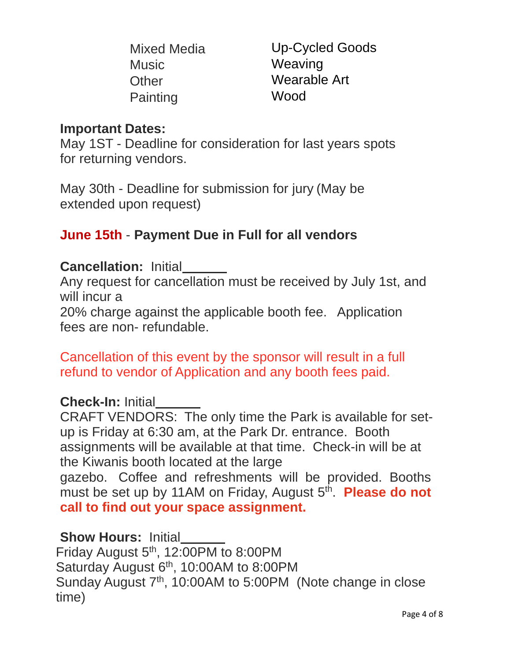|          | Mixed Media |
|----------|-------------|
| Music    |             |
| Other    |             |
| Painting |             |

Up-Cycled Goods Weaving Wearable Art Wood

## **Important Dates:**

May 1ST - Deadline for consideration for last years spots for returning vendors.

May 30th - Deadline for submission for jury (May be extended upon request)

# **June 15th** - **Payment Due in Full for all vendors**

#### **Cancellation:** Initial

Any request for cancellation must be received by July 1st, and will incur a

20% charge against the applicable booth fee. Application fees are non- refundable.

Cancellation of this event by the sponsor will result in a full refund to vendor of Application and any booth fees paid.

# **Check-In:** Initial

CRAFT VENDORS: The only time the Park is available for setup is Friday at 6:30 am, at the Park Dr. entrance. Booth assignments will be available at that time. Check-in will be at the Kiwanis booth located at the large gazebo. Coffee and refreshments will be provided. Booths must be set up by 11AM on Friday, August 5<sup>th</sup>. Please do not **call to find out your space assignment.**

#### **Show Hours:** Initial

Friday August  $5<sup>th</sup>$ , 12:00PM to 8:00PM Saturday August  $6<sup>th</sup>$ , 10:00AM to 8:00PM Sunday August 7<sup>th</sup>, 10:00AM to 5:00PM (Note change in close time)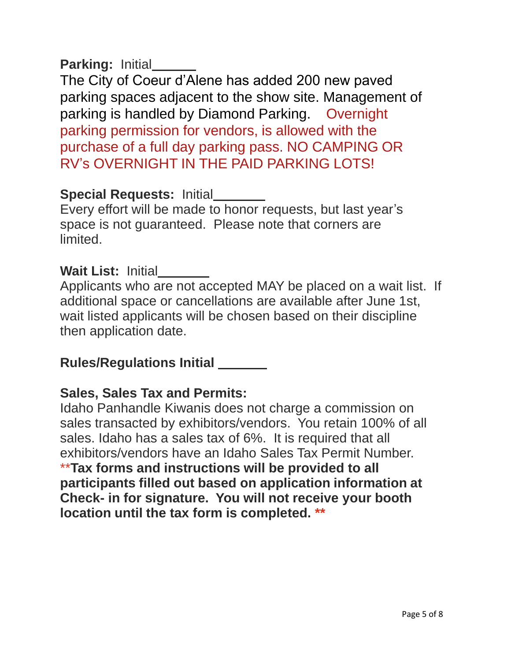# **Parking:** Initial

The City of Coeur d'Alene has added 200 new paved parking spaces adjacent to the show site. Management of parking is handled by Diamond Parking. Overnight parking permission for vendors, is allowed with the purchase of a full day parking pass. NO CAMPING OR RV's OVERNIGHT IN THE PAID PARKING LOTS!

# **Special Requests:** Initial

Every effort will be made to honor requests, but last year's space is not guaranteed. Please note that corners are limited.

# **Wait List:** Initial

Applicants who are not accepted MAY be placed on a wait list. If additional space or cancellations are available after June 1st, wait listed applicants will be chosen based on their discipline then application date.

# **Rules/Regulations Initial**

# **Sales, Sales Tax and Permits:**

Idaho Panhandle Kiwanis does not charge a commission on sales transacted by exhibitors/vendors. You retain 100% of all sales. Idaho has a sales tax of 6%. It is required that all exhibitors/vendors have an Idaho Sales Tax Permit Number. \*\***Tax forms and instructions will be provided to all participants filled out based on application information at Check- in for signature. You will not receive your booth location until the tax form is completed. \*\***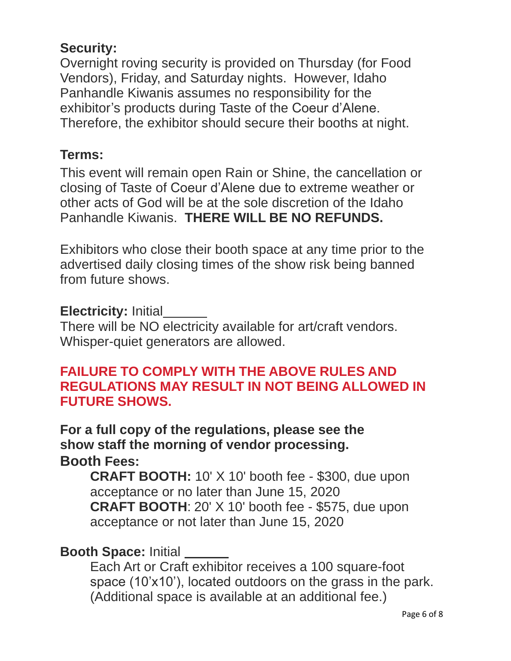# **Security:**

Overnight roving security is provided on Thursday (for Food Vendors), Friday, and Saturday nights. However, Idaho Panhandle Kiwanis assumes no responsibility for the exhibitor's products during Taste of the Coeur d'Alene. Therefore, the exhibitor should secure their booths at night.

## **Terms:**

This event will remain open Rain or Shine, the cancellation or closing of Taste of Coeur d'Alene due to extreme weather or other acts of God will be at the sole discretion of the Idaho Panhandle Kiwanis. **THERE WILL BE NO REFUNDS.**

Exhibitors who close their booth space at any time prior to the advertised daily closing times of the show risk being banned from future shows.

#### **Electricity: Initial**

There will be NO electricity available for art/craft vendors. Whisper-quiet generators are allowed.

## **FAILURE TO COMPLY WITH THE ABOVE RULES AND REGULATIONS MAY RESULT IN NOT BEING ALLOWED IN FUTURE SHOWS.**

**For a full copy of the regulations, please see the show staff the morning of vendor processing. Booth Fees:**

**CRAFT BOOTH:** 10' X 10' booth fee - \$300, due upon acceptance or no later than June 15, 2020 **CRAFT BOOTH**: 20' X 10' booth fee - \$575, due upon acceptance or not later than June 15, 2020

# **Booth Space:** Initial

Each Art or Craft exhibitor receives a 100 square-foot space (10'x10'), located outdoors on the grass in the park. (Additional space is available at an additional fee.)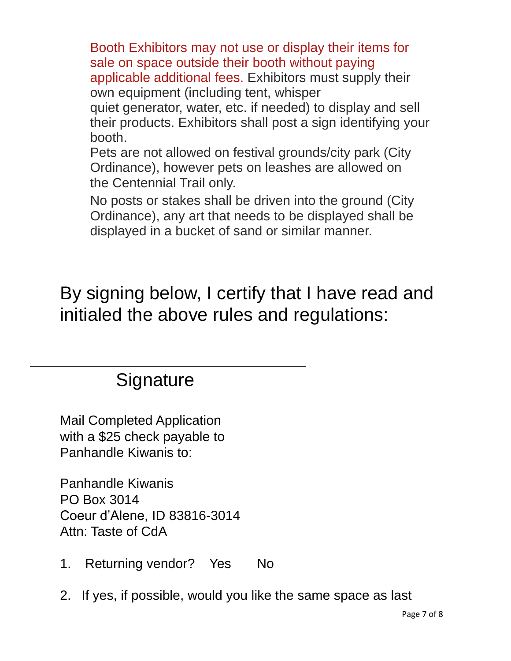Booth Exhibitors may not use or display their items for sale on space outside their booth without paying applicable additional fees. Exhibitors must supply their own equipment (including tent, whisper quiet generator, water, etc. if needed) to display and sell their products. Exhibitors shall post a sign identifying your booth.

Pets are not allowed on festival grounds/city park (City Ordinance), however pets on leashes are allowed on the Centennial Trail only.

No posts or stakes shall be driven into the ground (City Ordinance), any art that needs to be displayed shall be displayed in a bucket of sand or similar manner.

By signing below, I certify that I have read and initialed the above rules and regulations:

# **Signature**

Mail Completed Application with a \$25 check payable to Panhandle Kiwanis to:

Panhandle Kiwanis PO Box 3014 Coeur d'Alene, ID 83816-3014 Attn: Taste of CdA

- 1. Returning vendor? Yes No
- 2. If yes, if possible, would you like the same space as last